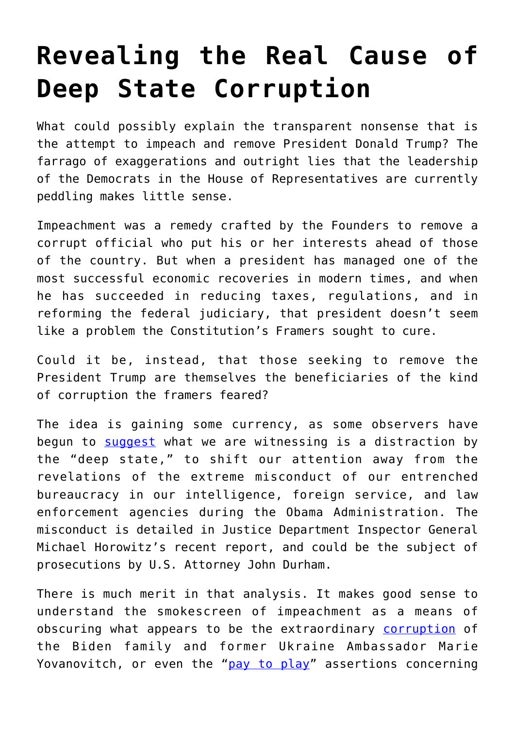## **[Revealing the Real Cause of](https://intellectualtakeout.org/2019/12/revealing-the-real-cause-of-deep-state-corruption/) [Deep State Corruption](https://intellectualtakeout.org/2019/12/revealing-the-real-cause-of-deep-state-corruption/)**

What could possibly explain the transparent nonsense that is the attempt to impeach and remove President Donald Trump? The farrago of exaggerations and outright lies that the leadership of the Democrats in the House of Representatives are currently peddling makes little sense.

Impeachment was a remedy crafted by the Founders to remove a corrupt official who put his or her interests ahead of those of the country. But when a president has managed one of the most successful economic recoveries in modern times, and when he has succeeded in reducing taxes, regulations, and in reforming the federal judiciary, that president doesn't seem like a problem the Constitution's Framers sought to cure.

Could it be, instead, that those seeking to remove the President Trump are themselves the beneficiaries of the kind of corruption the framers feared?

The idea is gaining some currency, as some observers have begun to [suggest](https://townhall.com/columnists/robertwasinger/2019/12/26/pelosis-impeachment-farce-is-an-attempt-to-distract-from-the-deep-state-conspiracy-n2558478) what we are witnessing is a distraction by the "deep state," to shift our attention away from the revelations of the extreme misconduct of our entrenched bureaucracy in our intelligence, foreign service, and law enforcement agencies during the Obama Administration. The misconduct is detailed in Justice Department Inspector General Michael Horowitz's recent report, and could be the subject of prosecutions by U.S. Attorney John Durham.

There is much merit in that analysis. It makes good sense to understand the smokescreen of impeachment as a means of obscuring what appears to be the extraordinary [corruption](https://www.realclearpolitics.com/video/2019/12/17/giuliani_my_ukraine_investigation_will_show_substantial_amount_of_corruption_that_took_place_under_obama.html) of the Biden family and former Ukraine Ambassador Marie Yovanovitch, or even the "[pay to play](https://www.foxnews.com/politics/republicans-examine-accusations-of-pay-to-play-at-clinton-foundation-amid-plunge-in-donations)" assertions concerning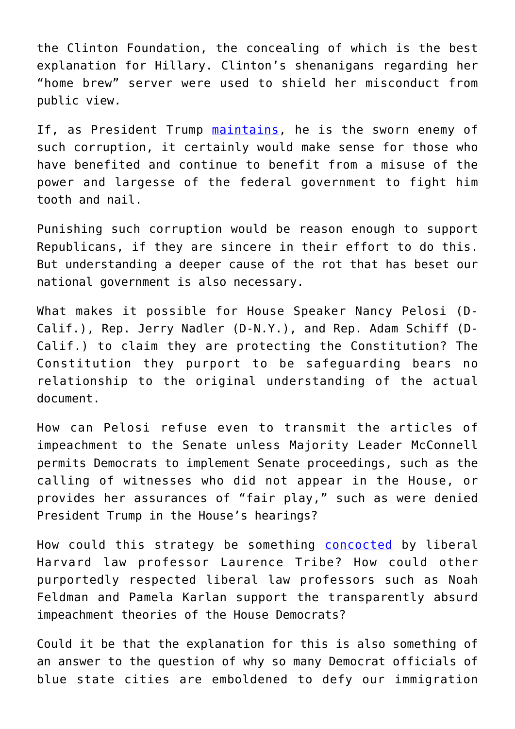the Clinton Foundation, the concealing of which is the best explanation for Hillary. Clinton's shenanigans regarding her "home brew" server were used to shield her misconduct from public view.

If, as President Trump [maintains,](https://twitter.com/realdonaldtrump/status/1179862105945542656?lang=en) he is the sworn enemy of such corruption, it certainly would make sense for those who have benefited and continue to benefit from a misuse of the power and largesse of the federal government to fight him tooth and nail.

Punishing such corruption would be reason enough to support Republicans, if they are sincere in their effort to do this. But understanding a deeper cause of the rot that has beset our national government is also necessary.

What makes it possible for House Speaker Nancy Pelosi (D-Calif.), Rep. Jerry Nadler (D-N.Y.), and Rep. Adam Schiff (D-Calif.) to claim they are protecting the Constitution? The Constitution they purport to be safeguarding bears no relationship to the original understanding of the actual document.

How can Pelosi refuse even to transmit the articles of impeachment to the Senate unless Majority Leader McConnell permits Democrats to implement Senate proceedings, such as the calling of witnesses who did not appear in the House, or provides her assurances of "fair play," such as were denied President Trump in the House's hearings?

How could this strategy be something [concocted](https://www.huffpost.com/entry/laurence-tribe-donald-trump-impeachment_n_5dfc7709e4b05b08bab3193a) by liberal Harvard law professor Laurence Tribe? How could other purportedly respected liberal law professors such as Noah Feldman and Pamela Karlan support the transparently absurd impeachment theories of the House Democrats?

Could it be that the explanation for this is also something of an answer to the question of why so many Democrat officials of blue state cities are emboldened to defy our immigration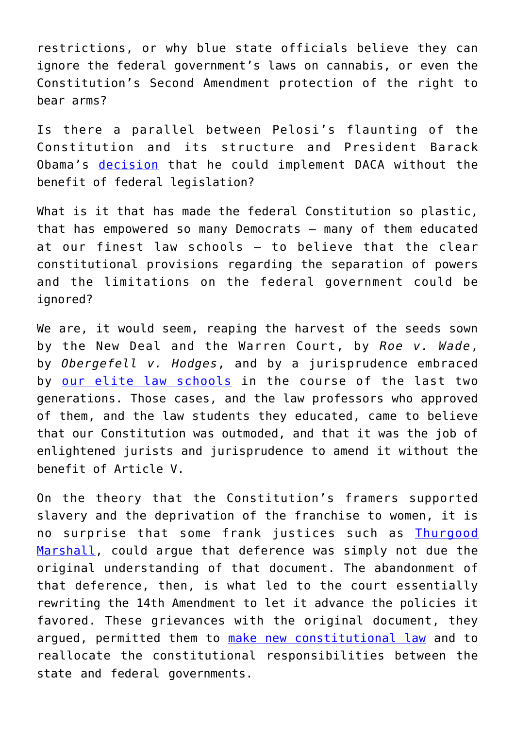restrictions, or why blue state officials believe they can ignore the federal government's laws on cannabis, or even the Constitution's Second Amendment protection of the right to bear arms?

Is there a parallel between Pelosi's flaunting of the Constitution and its structure and President Barack Obama's [decision](https://www.heritage.org/immigration/commentary/daca-unconstitutional-obama-admitted) that he could implement DACA without the benefit of federal legislation?

What is it that has made the federal Constitution so plastic, that has empowered so many Democrats – many of them educated at our finest law schools – to believe that the clear constitutional provisions regarding the separation of powers and the limitations on the federal government could be ignored?

We are, it would seem, reaping the harvest of the seeds sown by the New Deal and the Warren Court, by *Roe v. Wade*, by *Obergefell v. Hodges*, and by a jurisprudence embraced by [our elite law schools](https://www.amazon.com/Law-Professors-Centuries-Shaping-American/dp/1634590457/ref=sr_1_1?crid=1BPEC7ZOF6UZA&keywords=law+professor+three+centuries+of+shaping+american+law&qid=1577450999&s=books&sprefix=law+professors+%2Cstripbooks%2C154&sr=1-1) in the course of the last two generations. Those cases, and the law professors who approved of them, and the law students they educated, came to believe that our Constitution was outmoded, and that it was the job of enlightened jurists and jurisprudence to amend it without the benefit of Article V.

On the theory that the Constitution's framers supported slavery and the deprivation of the franchise to women, it is no surprise that some frank justices such as *Ihurgood* [Marshall,](https://www.latimes.com/archives/la-xpm-1987-05-07-mn-4540-story.html) could argue that deference was simply not due the original understanding of that document. The abandonment of that deference, then, is what led to the court essentially rewriting the 14th Amendment to let it advance the policies it favored. These grievances with the original document, they argued, permitted them to [make new constitutional law](https://www.amazon.com/Government-Judiciary-Studies-Jurisprudence-Legal-dp-0865971447/dp/0865971447/ref=mt_paperback?_encoding=UTF8&me=&qid=1577452028) and to reallocate the constitutional responsibilities between the state and federal governments.